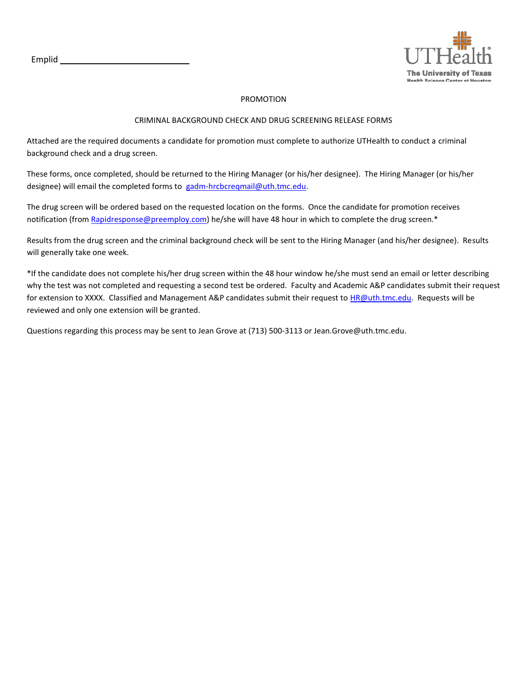Emplid



#### PROMOTION

#### CRIMINAL BACKGROUND CHECK AND DRUG SCREENING RELEASE FORMS

Attached are the required documents a candidate for promotion must complete to authorize UTHealth to conduct a criminal background check and a drug screen.

These forms, once completed, should be returned to the Hiring Manager (or his/her designee). The Hiring Manager (or his/her designee) will email the completed forms to [gadm-hrcbcreqmail@uth.tmc.edu.](mailto:gadm-hrcbcreqmail@uth.tmc.edu)

The drug screen will be ordered based on the requested location on the forms. Once the candidate for promotion receives notification (from [Rapidresponse@preemploy.com\)](mailto:Rapidresponse@preemploy.com) he/she will have 48 hour in which to complete the drug screen.\*

Results from the drug screen and the criminal background check will be sent to the Hiring Manager (and his/her designee). Results will generally take one week.

\*If the candidate does not complete his/her drug screen within the 48 hour window he/she must send an email or letter describing why the test was not completed and requesting a second test be ordered. Faculty and Academic A&P candidates submit their request for extension to XXXX. Classified and Management A&P candidates submit their request to [HR@uth.tmc.edu.](mailto:HR@uth.tmc.edu) Requests will be reviewed and only one extension will be granted.

Questions regarding this process may be sent to Jean Grove at (713) 500-3113 or Jean.Grove@uth.tmc.edu.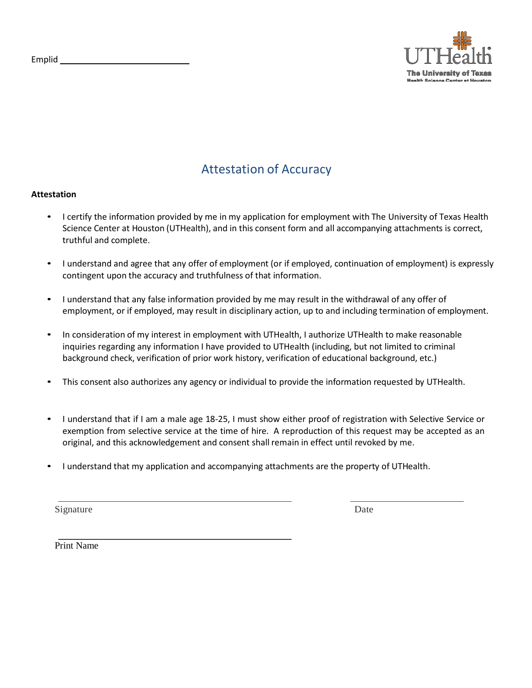

# Attestation of Accuracy

### **Attestation**

- I certify the information provided by me in my application for employment with The University of Texas Health Science Center at Houston (UTHealth), and in this consent form and all accompanying attachments is correct, truthful and complete.
- I understand and agree that any offer of employment (or if employed, continuation of employment) is expressly contingent upon the accuracy and truthfulness of that information.
- I understand that any false information provided by me may result in the withdrawal of any offer of employment, or if employed, may result in disciplinary action, up to and including termination of employment.
- In consideration of my interest in employment with UTHealth, I authorize UTHealth to make reasonable inquiries regarding any information I have provided to UTHealth (including, but not limited to criminal background check, verification of prior work history, verification of educational background, etc.)
- This consent also authorizes any agency or individual to provide the information requested by UTHealth.
- I understand that if I am a male age 18-25, I must show either proof of registration with Selective Service or exemption from selective service at the time of hire. A reproduction of this request may be accepted as an original, and this acknowledgement and consent shall remain in effect until revoked by me.
- I understand that my application and accompanying attachments are the property of UTHealth.

Signature Date

Print Name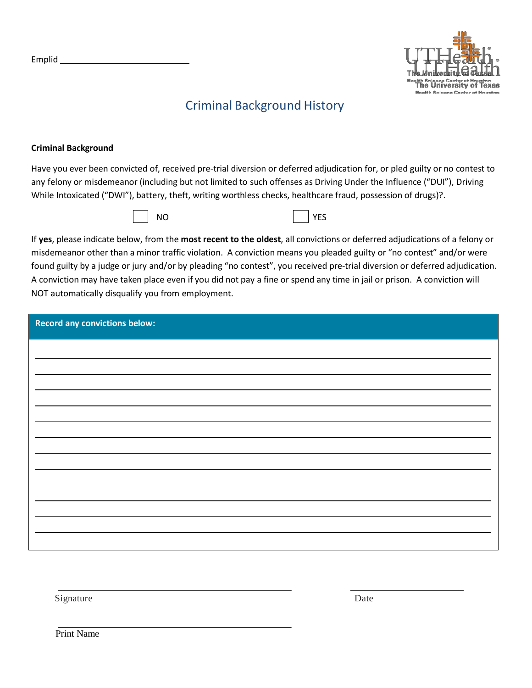

# Criminal Background History

### **Criminal Background**

Have you ever been convicted of, received pre-trial diversion or deferred adjudication for, or pled guilty or no contest to any felony or misdemeanor (including but not limited to such offenses as Driving Under the Influence ("DUI"), Driving While Intoxicated ("DWI"), battery, theft, writing worthless checks, healthcare fraud, possession of drugs)?.





If **yes**, please indicate below, from the **most recent to the oldest**, all convictions or deferred adjudications of a felony or misdemeanor other than a minor traffic violation. A conviction means you pleaded guilty or "no contest" and/or were found guilty by a judge or jury and/or by pleading "no contest", you received pre-trial diversion or deferred adjudication. A conviction may have taken place even if you did not pay a fine or spend any time in jail or prison. A conviction will NOT automatically disqualify you from employment.

| <b>Record any convictions below:</b> |  |  |  |
|--------------------------------------|--|--|--|
|                                      |  |  |  |
|                                      |  |  |  |
|                                      |  |  |  |
|                                      |  |  |  |
|                                      |  |  |  |
|                                      |  |  |  |
|                                      |  |  |  |
|                                      |  |  |  |
|                                      |  |  |  |
|                                      |  |  |  |
|                                      |  |  |  |
|                                      |  |  |  |
|                                      |  |  |  |

Signature Date

Print Name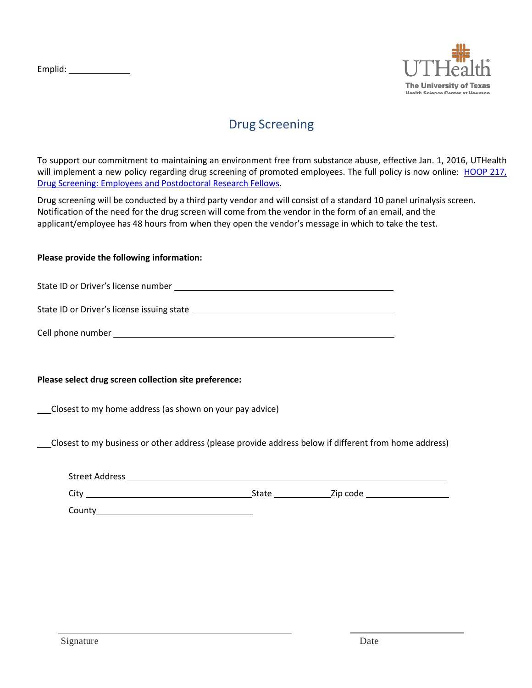

## Drug Screening

To support our commitment to maintaining an environment free from substance abuse, effective Jan. 1, 2016, UTHealth will implement a new policy regarding drug screening of promoted employees. The full policy is now online: [HOOP](https://www.uth.edu/hoop/policy.htm?id=32e7a1fd-59dd-4269-b049-4606d26a56a4) 217, Drug Screening: Employees [and Postdoctoral Research Fellows.](https://www.uth.edu/hoop/policy.htm?id=32e7a1fd-59dd-4269-b049-4606d26a56a4)

Drug screening will be conducted by a third party vendor and will consist of a standard 10 panel urinalysis screen. Notification of the need for the drug screen will come from the vendor in the form of an email, and the applicant/employee has 48 hours from when they open the vendor's message in which to take the test.

### **Please provide the following information:**

State ID or Driver's license number

State ID or Driver's license issuing state

|  |  | Cell phone number |
|--|--|-------------------|
|--|--|-------------------|

## **Please select drug screen collection site preference:**

Closest to my home address (as shown on your pay advice)

Closest to my business or other address (please provide address below if different from home address)

| <b>Street Address</b> |       |          |
|-----------------------|-------|----------|
| City                  | State | Zip code |
| County                |       |          |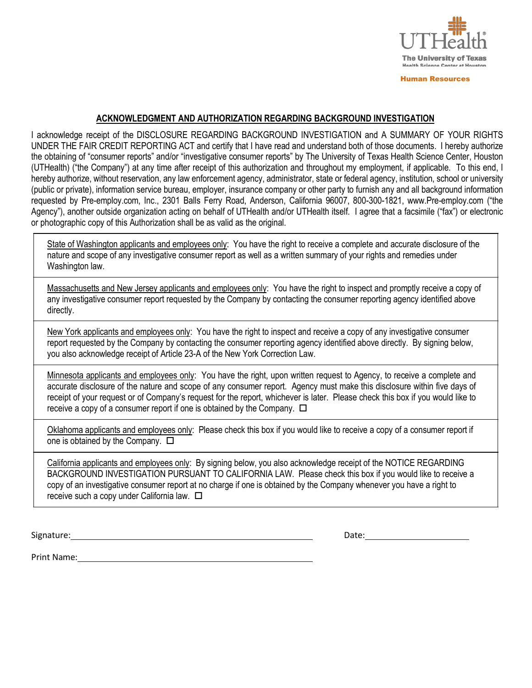

Human Resources

### **ACKNOWLEDGMENT AND AUTHORIZATION REGARDING BACKGROUND INVESTIGATION**

I acknowledge receipt of the DISCLOSURE REGARDING BACKGROUND INVESTIGATION and A SUMMARY OF YOUR RIGHTS UNDER THE FAIR CREDIT REPORTING ACT and certify that I have read and understand both of those documents. I hereby authorize the obtaining of "consumer reports" and/or "investigative consumer reports" by The University of Texas Health Science Center, Houston (UTHealth) ("the Company") at any time after receipt of this authorization and throughout my employment, if applicable. To this end, I hereby authorize, without reservation, any law enforcement agency, administrator, state or federal agency, institution, school or university (public or private), information service bureau, employer, insurance company or other party to furnish any and all background information requested by Pre-employ.com, Inc., 2301 Balls Ferry Road, Anderson, California 96007, 800-300-1821, [www.Pre-employ.com](http://www.pre-employ.com/) ("the Agency"), another outside organization acting on behalf of UTHealth and/or UTHealth itself. I agree that a facsimile ("fax") or electronic or photographic copy of this Authorization shall be as valid as the original.

State of Washington applicants and employees only: You have the right to receive a complete and accurate disclosure of the nature and scope of any investigative consumer report as well as a written summary of your rights and remedies under Washington law.

Massachusetts and New Jersey applicants and employees only: You have the right to inspect and promptly receive a copy of any investigative consumer report requested by the Company by contacting the consumer reporting agency identified above directly.

New York applicants and employees only: You have the right to inspect and receive a copy of any investigative consumer report requested by the Company by contacting the consumer reporting agency identified above directly. By signing below, you also acknowledge receipt of Article 23-A of the New York Correction Law.

Minnesota applicants and employees only: You have the right, upon written request to Agency, to receive a complete and accurate disclosure of the nature and scope of any consumer report. Agency must make this disclosure within five days of receipt of your request or of Company's request for the report, whichever is later. Please check this box if you would like to receive a copy of a consumer report if one is obtained by the Company.  $\Box$ 

Oklahoma applicants and employees only: Please check this box if you would like to receive a copy of a consumer report if one is obtained by the Company.  $\square$ 

California applicants and employees only: By signing below, you also acknowledge receipt of the NOTICE REGARDING BACKGROUND INVESTIGATION PURSUANT TO CALIFORNIA LAW. Please check this box if you would like to receive a copy of an investigative consumer report at no charge if one is obtained by the Company whenever you have a right to receive such a copy under California law.  $\square$ 

Signature: Date: Date: Date: Date: Date: Date: Date: Date: Date: Date: Date: Date: Date: Date: Date: Date: Date: Date: Date: Date: Date: Date: Date: Date: Date: Date: Date: Date: Date: Date: Date: Date: Date: Date: Date: D

Print Name: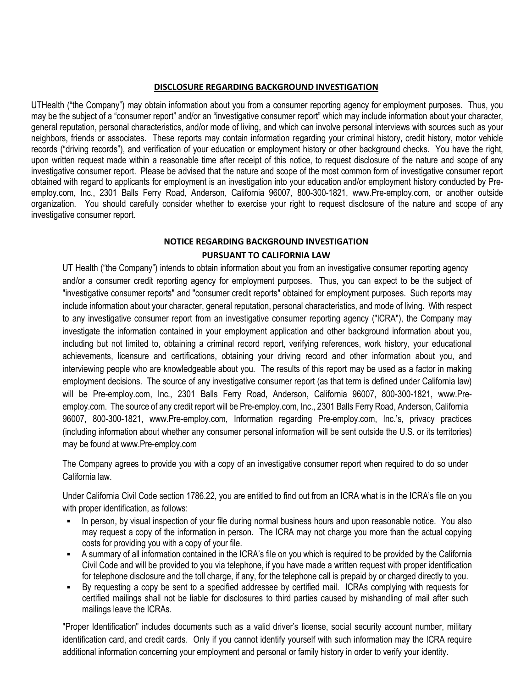#### **DISCLOSURE REGARDING BACKGROUND INVESTIGATION**

UTHealth ("the Company") may obtain information about you from a consumer reporting agency for employment purposes. Thus, you may be the subject of a "consumer report" and/or an "investigative consumer report" which may include information about your character, general reputation, personal characteristics, and/or mode of living, and which can involve personal interviews with sources such as your neighbors, friends or associates. These reports may contain information regarding your criminal history, credit history, motor vehicle records ("driving records"), and verification of your education or employment history or other background checks. You have the right, upon written request made within a reasonable time after receipt of this notice, to request disclosure of the nature and scope of any investigative consumer report. Please be advised that the nature and scope of the most common form of investigative consumer report obtained with regard to applicants for employment is an investigation into your education and/or employment history conducted by Preemploy.com, Inc., 2301 Balls Ferry Road, Anderson, California 96007, 800-300-1821, [www.Pre-employ.com,](http://www.pre-employ.com/) or another outside organization. You should carefully consider whether to exercise your right to request disclosure of the nature and scope of any investigative consumer report.

### **NOTICE REGARDING BACKGROUND INVESTIGATION PURSUANT TO CALIFORNIA LAW**

UT Health ("the Company") intends to obtain information about you from an investigative consumer reporting agency and/or a consumer credit reporting agency for employment purposes. Thus, you can expect to be the subject of "investigative consumer reports" and "consumer credit reports" obtained for employment purposes. Such reports may include information about your character, general reputation, personal characteristics, and mode of living. With respect to any investigative consumer report from an investigative consumer reporting agency ("ICRA"), the Company may investigate the information contained in your employment application and other background information about you, including but not limited to, obtaining a criminal record report, verifying references, work history, your educational achievements, licensure and certifications, obtaining your driving record and other information about you, and interviewing people who are knowledgeable about you. The results of this report may be used as a factor in making employment decisions. The source of any investigative consumer report (as that term is defined under California law) will be Pre-employ.com, Inc., 2301 Balls Ferry Road, Anderson, California 96007, 800-300-1821, www.Preemploy.com. The source of any credit report will be Pre-employ.com, Inc., 2301 Balls Ferry Road, Anderson, California 96007, 800-300-1821, [www.Pre-employ.com,](http://www.pre-employ.com/) Information regarding Pre-employ.com, Inc.'s, privacy practices (including information about whether any consumer personal information will be sent outside the U.S. or its territories) may be found [at www.Pre-employ.com](http://www.pre-employ.com/)

The Company agrees to provide you with a copy of an investigative consumer report when required to do so under California law.

Under California Civil Code section 1786.22, you are entitled to find out from an ICRA what is in the ICRA's file on you with proper identification, as follows:

- In person, by visual inspection of your file during normal business hours and upon reasonable notice. You also may request a copy of the information in person. The ICRA may not charge you more than the actual copying costs for providing you with a copy of your file.
- A summary of all information contained in the ICRA's file on you which is required to be provided by the California Civil Code and will be provided to you via telephone, if you have made a written request with proper identification for telephone disclosure and the toll charge, if any, for the telephone call is prepaid by or charged directly to you.
- By requesting a copy be sent to a specified addressee by certified mail. ICRAs complying with requests for certified mailings shall not be liable for disclosures to third parties caused by mishandling of mail after such mailings leave the ICRAs.

"Proper Identification" includes documents such as a valid driver's license, social security account number, military identification card, and credit cards. Only if you cannot identify yourself with such information may the ICRA require additional information concerning your employment and personal or family history in order to verify your identity.